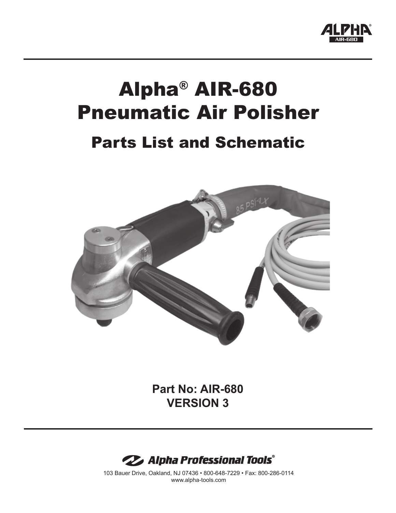

## Alpha® AIR-680 Pneumatic Air Polisher

## Parts List and Schematic



**Part No: AIR-680 VERSION 3**



103 Bauer Drive, Oakland, NJ 07436 • 800-648-7229 • Fax: 800-286-0114 www.alpha-tools.com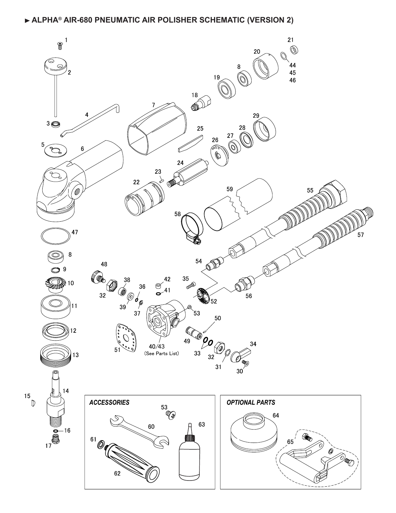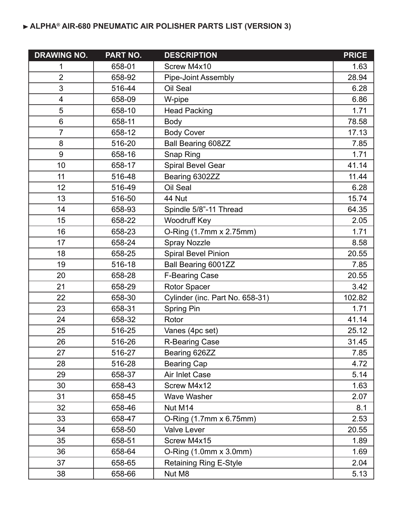## **ALPHA® AIR-680 PNEUMATIC AIR POLISHER PARTS LIST (VERSION 3)**

| <b>DRAWING NO.</b> | PART NO. | <b>DESCRIPTION</b>              | <b>PRICE</b> |
|--------------------|----------|---------------------------------|--------------|
| 1                  | 658-01   | Screw M4x10                     | 1.63         |
| $\overline{2}$     | 658-92   | <b>Pipe-Joint Assembly</b>      | 28.94        |
| 3                  | 516-44   | Oil Seal                        | 6.28         |
| 4                  | 658-09   | W-pipe                          | 6.86         |
| 5                  | 658-10   | <b>Head Packing</b>             | 1.71         |
| $6\phantom{1}6$    | 658-11   | <b>Body</b>                     | 78.58        |
| $\overline{7}$     | 658-12   | <b>Body Cover</b>               | 17.13        |
| 8                  | 516-20   | <b>Ball Bearing 608ZZ</b>       | 7.85         |
| 9                  | 658-16   | Snap Ring                       | 1.71         |
| 10                 | 658-17   | Spiral Bevel Gear               | 41.14        |
| 11                 | 516-48   | Bearing 6302ZZ                  | 11.44        |
| 12                 | 516-49   | Oil Seal                        | 6.28         |
| 13                 | 516-50   | 44 Nut                          | 15.74        |
| 14                 | 658-93   | Spindle 5/8"-11 Thread          | 64.35        |
| 15                 | 658-22   | <b>Woodruff Key</b>             | 2.05         |
| 16                 | 658-23   | O-Ring (1.7mm x 2.75mm)         | 1.71         |
| 17                 | 658-24   | <b>Spray Nozzle</b>             | 8.58         |
| 18                 | 658-25   | <b>Spiral Bevel Pinion</b>      | 20.55        |
| 19                 | 516-18   | Ball Bearing 6001ZZ             | 7.85         |
| 20                 | 658-28   | <b>F-Bearing Case</b>           | 20.55        |
| 21                 | 658-29   | Rotor Spacer                    | 3.42         |
| 22                 | 658-30   | Cylinder (inc. Part No. 658-31) | 102.82       |
| 23                 | 658-31   | Spring Pin                      | 1.71         |
| 24                 | 658-32   | Rotor                           | 41.14        |
| 25                 | 516-25   | Vanes (4pc set)                 | 25.12        |
| 26                 | 516-26   | R-Bearing Case                  | 31.45        |
| 27                 | 516-27   | Bearing 626ZZ                   | 7.85         |
| 28                 | 516-28   | <b>Bearing Cap</b>              | 4.72         |
| 29                 | 658-37   | Air Inlet Case                  | 5.14         |
| 30                 | 658-43   | Screw M4x12                     | 1.63         |
| 31                 | 658-45   | Wave Washer                     | 2.07         |
| 32                 | 658-46   | Nut M14                         | 8.1          |
| 33                 | 658-47   | O-Ring $(1.7$ mm x 6.75mm)      | 2.53         |
| 34                 | 658-50   | Valve Lever                     | 20.55        |
| 35                 | 658-51   | Screw M4x15                     | 1.89         |
| 36                 | 658-64   | O-Ring (1.0mm x 3.0mm)          | 1.69         |
| 37                 | 658-65   | <b>Retaining Ring E-Style</b>   | 2.04         |
| 38                 | 658-66   | Nut M8                          | 5.13         |